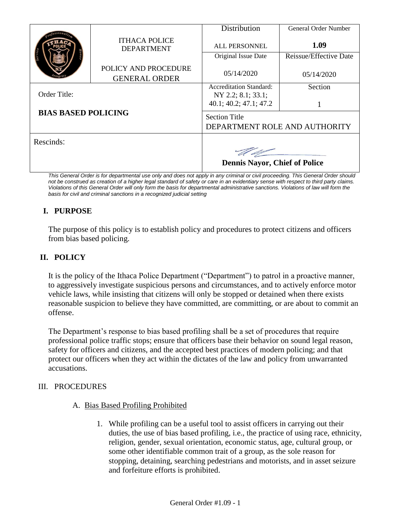|                            | <b>ITHACA POLICE</b><br><b>DEPARTMENT</b>    | Distribution                                          | <b>General Order Number</b> |
|----------------------------|----------------------------------------------|-------------------------------------------------------|-----------------------------|
|                            |                                              | <b>ALL PERSONNEL</b>                                  | 1.09                        |
|                            |                                              | Original Issue Date                                   | Reissue/Effective Date      |
|                            | POLICY AND PROCEDURE<br><b>GENERAL ORDER</b> | 05/14/2020                                            | 05/14/2020                  |
|                            |                                              | <b>Accreditation Standard:</b>                        | Section                     |
| Order Title:               |                                              | NY 2.2; 8.1; 33.1;<br>40.1; 40.2; 47.1; 47.2          |                             |
| <b>BIAS BASED POLICING</b> |                                              | <b>Section Title</b><br>DEPARTMENT ROLE AND AUTHORITY |                             |
| Rescinds:                  |                                              |                                                       |                             |
|                            |                                              | <b>Dennis Nayor, Chief of Police</b>                  |                             |

*This General Order is for departmental use only and does not apply in any criminal or civil proceeding. This General Order should*  not be construed as creation of a higher legal standard of safety or care in an evidentiary sense with respect to third party claims. *Violations of this General Order will only form the basis for departmental administrative sanctions. Violations of law will form the basis for civil and criminal sanctions in a recognized judicial setting*

# **I. PURPOSE**

The purpose of this policy is to establish policy and procedures to protect citizens and officers from bias based policing.

### **II. POLICY**

It is the policy of the Ithaca Police Department ("Department") to patrol in a proactive manner, to aggressively investigate suspicious persons and circumstances, and to actively enforce motor vehicle laws, while insisting that citizens will only be stopped or detained when there exists reasonable suspicion to believe they have committed, are committing, or are about to commit an offense.

The Department's response to bias based profiling shall be a set of procedures that require professional police traffic stops; ensure that officers base their behavior on sound legal reason, safety for officers and citizens, and the accepted best practices of modern policing; and that protect our officers when they act within the dictates of the law and policy from unwarranted accusations.

#### III. PROCEDURES

#### A. Bias Based Profiling Prohibited

1. While profiling can be a useful tool to assist officers in carrying out their duties, the use of bias based profiling, i.e., the practice of using race, ethnicity, religion, gender, sexual orientation, economic status, age, cultural group, or some other identifiable common trait of a group, as the sole reason for stopping, detaining, searching pedestrians and motorists, and in asset seizure and forfeiture efforts is prohibited.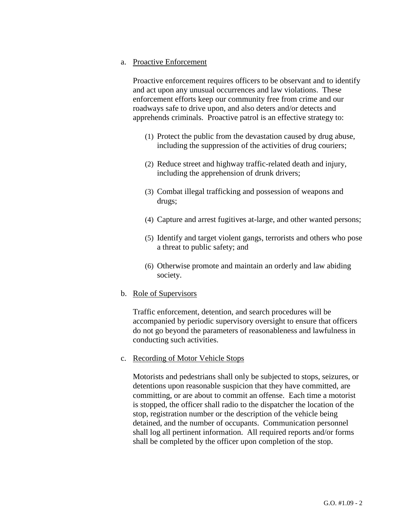a. Proactive Enforcement

Proactive enforcement requires officers to be observant and to identify and act upon any unusual occurrences and law violations. These enforcement efforts keep our community free from crime and our roadways safe to drive upon, and also deters and/or detects and apprehends criminals. Proactive patrol is an effective strategy to:

- (1) Protect the public from the devastation caused by drug abuse, including the suppression of the activities of drug couriers;
- (2) Reduce street and highway traffic-related death and injury, including the apprehension of drunk drivers;
- (3) Combat illegal trafficking and possession of weapons and drugs;
- (4) Capture and arrest fugitives at-large, and other wanted persons;
- (5) Identify and target violent gangs, terrorists and others who pose a threat to public safety; and
- (6) Otherwise promote and maintain an orderly and law abiding society.
- b. Role of Supervisors

Traffic enforcement, detention, and search procedures will be accompanied by periodic supervisory oversight to ensure that officers do not go beyond the parameters of reasonableness and lawfulness in conducting such activities.

c. Recording of Motor Vehicle Stops

Motorists and pedestrians shall only be subjected to stops, seizures, or detentions upon reasonable suspicion that they have committed, are committing, or are about to commit an offense. Each time a motorist is stopped, the officer shall radio to the dispatcher the location of the stop, registration number or the description of the vehicle being detained, and the number of occupants. Communication personnel shall log all pertinent information. All required reports and/or forms shall be completed by the officer upon completion of the stop.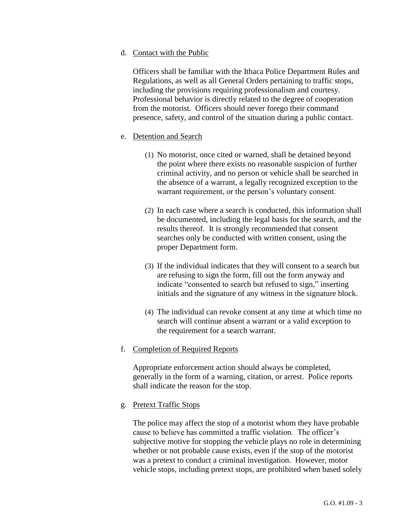d. Contact with the Public

Officers shall be familiar with the Ithaca Police Department Rules and Regulations, as well as all General Orders pertaining to traffic stops, including the provisions requiring professionalism and courtesy. Professional behavior is directly related to the degree of cooperation from the motorist. Officers should never forego their command presence, safety, and control of the situation during a public contact.

### e. Detention and Search

- (1) No motorist, once cited or warned, shall be detained beyond the point where there exists no reasonable suspicion of further criminal activity, and no person or vehicle shall be searched in the absence of a warrant, a legally recognized exception to the warrant requirement, or the person's voluntary consent.
- (2) In each case where a search is conducted, this information shall be documented, including the legal basis for the search, and the results thereof. It is strongly recommended that consent searches only be conducted with written consent, using the proper Department form.
- (3) If the individual indicates that they will consent to a search but are refusing to sign the form, fill out the form anyway and indicate "consented to search but refused to sign," inserting initials and the signature of any witness in the signature block.
- (4) The individual can revoke consent at any time at which time no search will continue absent a warrant or a valid exception to the requirement for a search warrant.

#### f. Completion of Required Reports

Appropriate enforcement action should always be completed, generally in the form of a warning, citation, or arrest. Police reports shall indicate the reason for the stop.

#### g. Pretext Traffic Stops

The police may affect the stop of a motorist whom they have probable cause to believe has committed a traffic violation. The officer's subjective motive for stopping the vehicle plays no role in determining whether or not probable cause exists, even if the stop of the motorist was a pretext to conduct a criminal investigation. However, motor vehicle stops, including pretext stops, are prohibited when based solely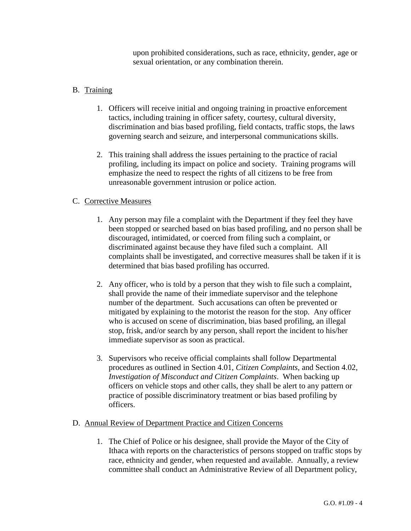upon prohibited considerations, such as race, ethnicity, gender, age or sexual orientation, or any combination therein.

## B. Training

- 1. Officers will receive initial and ongoing training in proactive enforcement tactics, including training in officer safety, courtesy, cultural diversity, discrimination and bias based profiling, field contacts, traffic stops, the laws governing search and seizure, and interpersonal communications skills.
- 2. This training shall address the issues pertaining to the practice of racial profiling, including its impact on police and society. Training programs will emphasize the need to respect the rights of all citizens to be free from unreasonable government intrusion or police action.

## C. Corrective Measures

- 1. Any person may file a complaint with the Department if they feel they have been stopped or searched based on bias based profiling, and no person shall be discouraged, intimidated, or coerced from filing such a complaint, or discriminated against because they have filed such a complaint. All complaints shall be investigated, and corrective measures shall be taken if it is determined that bias based profiling has occurred.
- 2. Any officer, who is told by a person that they wish to file such a complaint, shall provide the name of their immediate supervisor and the telephone number of the department. Such accusations can often be prevented or mitigated by explaining to the motorist the reason for the stop. Any officer who is accused on scene of discrimination, bias based profiling, an illegal stop, frisk, and/or search by any person, shall report the incident to his/her immediate supervisor as soon as practical.
- 3. Supervisors who receive official complaints shall follow Departmental procedures as outlined in Section 4.01, *Citizen Complaints,* and Section 4.02, *Investigation of Misconduct and Citizen Complaints*. When backing up officers on vehicle stops and other calls, they shall be alert to any pattern or practice of possible discriminatory treatment or bias based profiling by officers.

## D. Annual Review of Department Practice and Citizen Concerns

1. The Chief of Police or his designee, shall provide the Mayor of the City of Ithaca with reports on the characteristics of persons stopped on traffic stops by race, ethnicity and gender, when requested and available. Annually, a review committee shall conduct an Administrative Review of all Department policy,